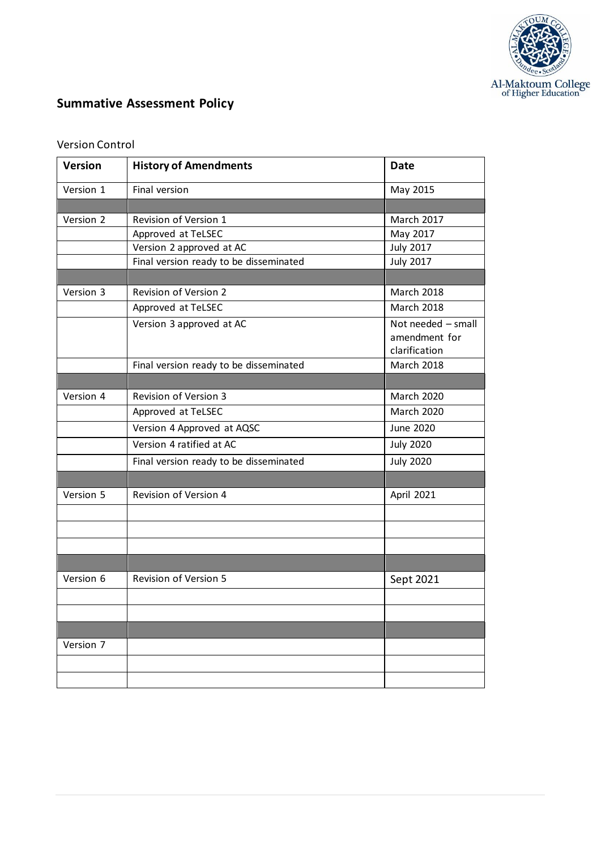

# **Summative Assessment Policy**

| <b>Version</b> | <b>History of Amendments</b>           | <b>Date</b>        |
|----------------|----------------------------------------|--------------------|
| Version 1      | Final version                          | May 2015           |
|                |                                        |                    |
| Version 2      | Revision of Version 1                  | <b>March 2017</b>  |
|                | Approved at TeLSEC                     | May 2017           |
|                | Version 2 approved at AC               | <b>July 2017</b>   |
|                | Final version ready to be disseminated | <b>July 2017</b>   |
|                |                                        |                    |
| Version 3      | <b>Revision of Version 2</b>           | <b>March 2018</b>  |
|                | Approved at TeLSEC                     | <b>March 2018</b>  |
|                | Version 3 approved at AC               | Not needed - small |
|                |                                        | amendment for      |
|                |                                        | clarification      |
|                | Final version ready to be disseminated | <b>March 2018</b>  |
|                |                                        |                    |
| Version 4      | Revision of Version 3                  | <b>March 2020</b>  |
|                | Approved at TeLSEC                     | <b>March 2020</b>  |
|                | Version 4 Approved at AQSC             | June 2020          |
|                | Version 4 ratified at AC               | <b>July 2020</b>   |
|                | Final version ready to be disseminated | <b>July 2020</b>   |
|                |                                        |                    |
| Version 5      | Revision of Version 4                  | April 2021         |
|                |                                        |                    |
|                |                                        |                    |
|                |                                        |                    |
|                |                                        |                    |
| Version 6      | Revision of Version 5                  | Sept 2021          |
|                |                                        |                    |
|                |                                        |                    |
|                |                                        |                    |
| Version 7      |                                        |                    |
|                |                                        |                    |
|                |                                        |                    |

# Version Control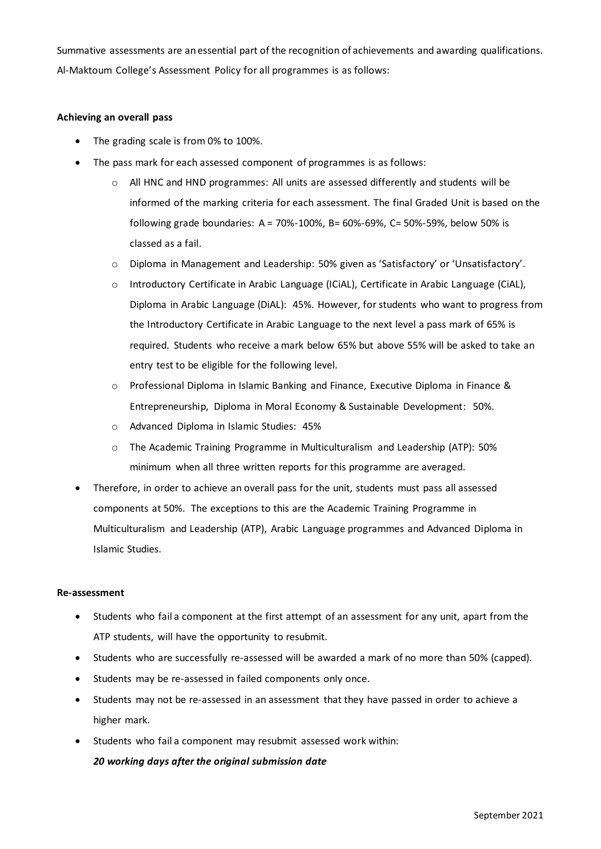Summative assessments are an essential part of the recognition of achievements and awarding qualifications. Al-Maktoum College's Assessment Policy for all programmes is as follows:

#### **Achieving an overall pass**

- The grading scale is from 0% to 100%.
- The pass mark for each assessed component of programmes is as follows:
	- $\circ$  All HNC and HND programmes: All units are assessed differently and students will be informed of the marking criteria for each assessment. The final Graded Unit is based on the following grade boundaries: A = 70%-100%, B= 60%-69%, C= 50%-59%, below 50% is classed as a fail.
	- o Diploma in Management and Leadership: 50% given as 'Satisfactory' or 'Unsatisfactory'.
	- o Introductory Certificate in Arabic Language (ICiAL), Certificate in Arabic Language (CiAL), Diploma in Arabic Language (DiAL): 45%. However, for students who want to progress from the Introductory Certificate in Arabic Language to the next level a pass mark of 65% is required. Students who receive a mark below 65% but above 55% will be asked to take an entry test to be eligible for the following level.
	- o Professional Diploma in Islamic Banking and Finance, Executive Diploma in Finance & Entrepreneurship, Diploma in Moral Economy & Sustainable Development: 50%.
	- o Advanced Diploma in Islamic Studies: 45%
	- o The Academic Training Programme in Multiculturalism and Leadership (ATP): 50% minimum when all three written reports for this programme are averaged.
- Therefore, in order to achieve an overall pass for the unit, students must pass all assessed components at 50%. The exceptions to this are the Academic Training Programme in Multiculturalism and Leadership (ATP), Arabic Language programmes and Advanced Diploma in Islamic Studies.

#### **Re-assessment**

- Students who fail a component at the first attempt of an assessment for any unit, apart from the ATP students, will have the opportunity to resubmit.
- Students who are successfully re-assessed will be awarded a mark of no more than 50% (capped).
- Students may be re-assessed in failed components only once.
- Students may not be re-assessed in an assessment that they have passed in order to achieve a higher mark.
- Students who fail a component may resubmit assessed work within: *20 working days after the original submission date*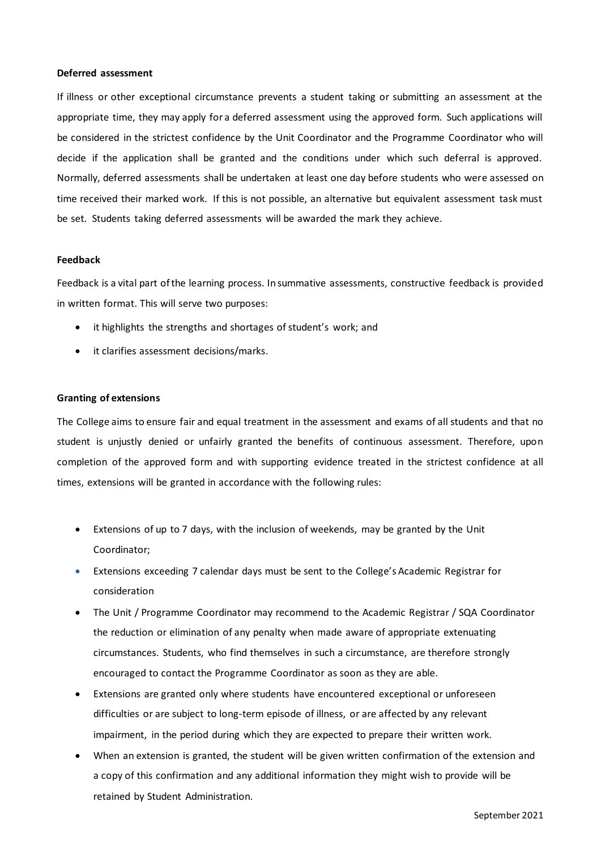#### **Deferred assessment**

If illness or other exceptional circumstance prevents a student taking or submitting an assessment at the appropriate time, they may apply for a deferred assessment using the approved form. Such applications will be considered in the strictest confidence by the Unit Coordinator and the Programme Coordinator who will decide if the application shall be granted and the conditions under which such deferral is approved. Normally, deferred assessments shall be undertaken at least one day before students who were assessed on time received their marked work. If this is not possible, an alternative but equivalent assessment task must be set. Students taking deferred assessments will be awarded the mark they achieve.

#### **Feedback**

Feedback is a vital part of the learning process. In summative assessments, constructive feedback is provided in written format. This will serve two purposes:

- it highlights the strengths and shortages of student's work; and
- it clarifies assessment decisions/marks.

#### **Granting of extensions**

The College aims to ensure fair and equal treatment in the assessment and exams of all students and that no student is unjustly denied or unfairly granted the benefits of continuous assessment. Therefore, upon completion of the approved form and with supporting evidence treated in the strictest confidence at all times, extensions will be granted in accordance with the following rules:

- Extensions of up to 7 days, with the inclusion of weekends, may be granted by the Unit Coordinator;
- Extensions exceeding 7 calendar days must be sent to the College's Academic Registrar for consideration
- The Unit / Programme Coordinator may recommend to the Academic Registrar / SQA Coordinator the reduction or elimination of any penalty when made aware of appropriate extenuating circumstances. Students, who find themselves in such a circumstance, are therefore strongly encouraged to contact the Programme Coordinator as soon as they are able.
- Extensions are granted only where students have encountered exceptional or unforeseen difficulties or are subject to long-term episode of illness, or are affected by any relevant impairment, in the period during which they are expected to prepare their written work.
- When an extension is granted, the student will be given written confirmation of the extension and a copy of this confirmation and any additional information they might wish to provide will be retained by Student Administration.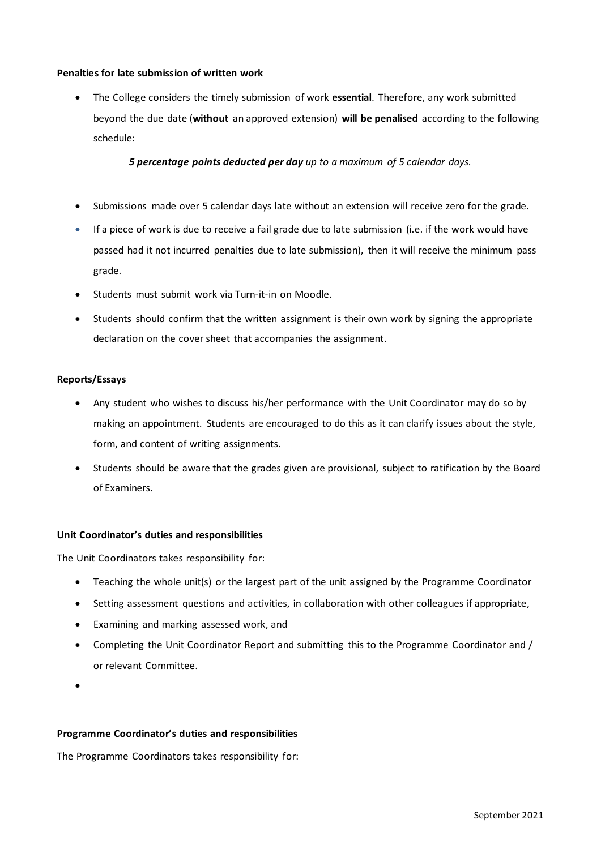# **Penalties for late submission of written work**

• The College considers the timely submission of work **essential**. Therefore, any work submitted beyond the due date (**without** an approved extension) **will be penalised** according to the following schedule:

*5 percentage points deducted per day up to a maximum of 5 calendar days.*

- Submissions made over 5 calendar days late without an extension will receive zero for the grade.
- If a piece of work is due to receive a fail grade due to late submission (i.e. if the work would have passed had it not incurred penalties due to late submission), then it will receive the minimum pass grade.
- Students must submit work via Turn-it-in on Moodle.
- Students should confirm that the written assignment is their own work by signing the appropriate declaration on the cover sheet that accompanies the assignment.

# **Reports/Essays**

- Any student who wishes to discuss his/her performance with the Unit Coordinator may do so by making an appointment. Students are encouraged to do this as it can clarify issues about the style, form, and content of writing assignments.
- Students should be aware that the grades given are provisional, subject to ratification by the Board of Examiners.

# **Unit Coordinator's duties and responsibilities**

The Unit Coordinators takes responsibility for:

- Teaching the whole unit(s) or the largest part of the unit assigned by the Programme Coordinator
- Setting assessment questions and activities, in collaboration with other colleagues if appropriate,
- Examining and marking assessed work, and
- Completing the Unit Coordinator Report and submitting this to the Programme Coordinator and / or relevant Committee.
- •

#### **Programme Coordinator's duties and responsibilities**

The Programme Coordinators takes responsibility for: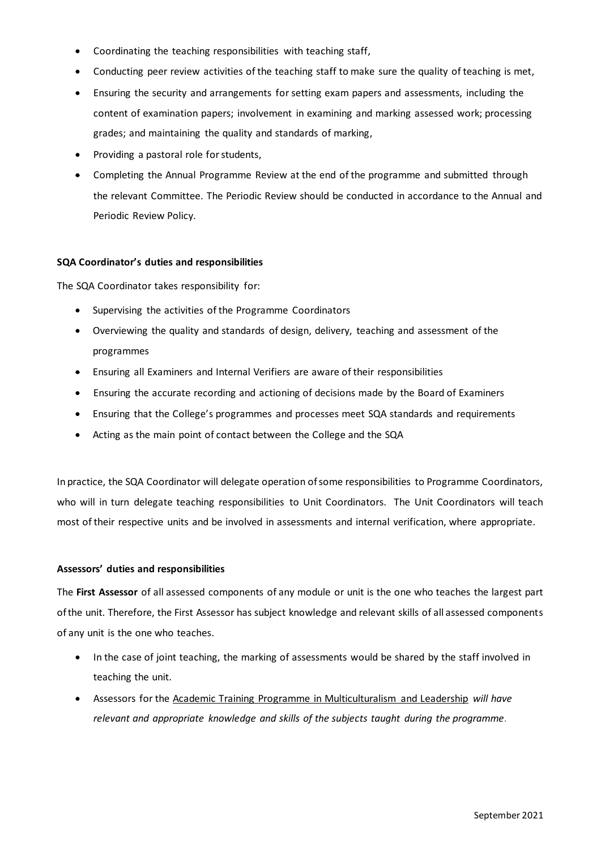- Coordinating the teaching responsibilities with teaching staff,
- Conducting peer review activities of the teaching staff to make sure the quality of teaching is met,
- Ensuring the security and arrangements for setting exam papers and assessments, including the content of examination papers; involvement in examining and marking assessed work; processing grades; and maintaining the quality and standards of marking,
- Providing a pastoral role for students,
- Completing the Annual Programme Review at the end of the programme and submitted through the relevant Committee. The Periodic Review should be conducted in accordance to the Annual and Periodic Review Policy.

#### **SQA Coordinator's duties and responsibilities**

The SQA Coordinator takes responsibility for:

- Supervising the activities of the Programme Coordinators
- Overviewing the quality and standards of design, delivery, teaching and assessment of the programmes
- Ensuring all Examiners and Internal Verifiers are aware of their responsibilities
- Ensuring the accurate recording and actioning of decisions made by the Board of Examiners
- Ensuring that the College's programmes and processes meet SQA standards and requirements
- Acting as the main point of contact between the College and the SQA

In practice, the SQA Coordinator will delegate operation of some responsibilities to Programme Coordinators, who will in turn delegate teaching responsibilities to Unit Coordinators. The Unit Coordinators will teach most of their respective units and be involved in assessments and internal verification, where appropriate.

# **Assessors' duties and responsibilities**

The **First Assessor** of all assessed components of any module or unit is the one who teaches the largest part of the unit. Therefore, the First Assessor has subject knowledge and relevant skills of all assessed components of any unit is the one who teaches.

- In the case of joint teaching, the marking of assessments would be shared by the staff involved in teaching the unit.
- Assessors for the Academic Training Programme in Multiculturalism and Leadership *will have relevant and appropriate knowledge and skills of the subjects taught during the programme.*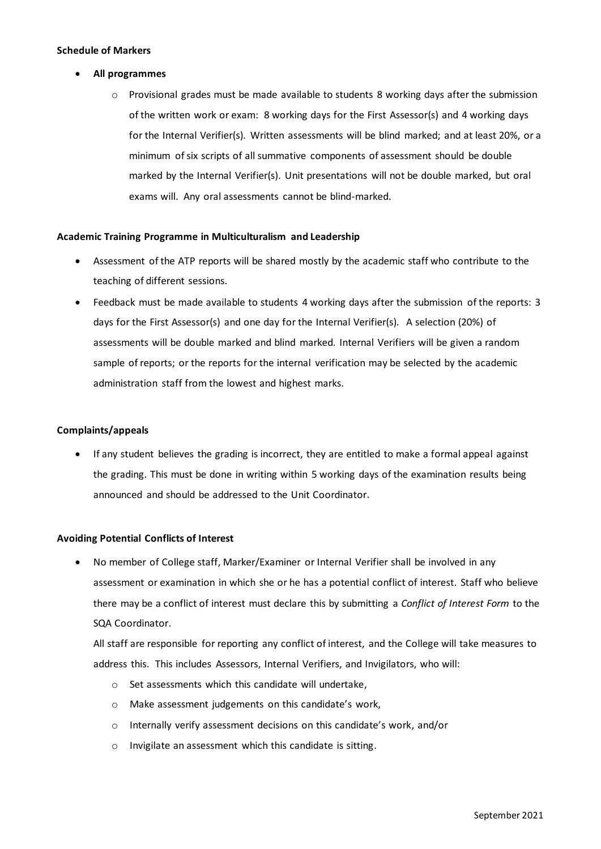#### **Schedule of Markers**

- **All programmes** 
	- $\circ$  Provisional grades must be made available to students 8 working days after the submission of the written work or exam: 8 working days for the First Assessor(s) and 4 working days for the Internal Verifier(s). Written assessments will be blind marked; and at least 20%, or a minimum of six scripts of all summative components of assessment should be double marked by the Internal Verifier(s). Unit presentations will not be double marked, but oral exams will. Any oral assessments cannot be blind-marked.

# **Academic Training Programme in Multiculturalism and Leadership**

- Assessment of the ATP reports will be shared mostly by the academic staff who contribute to the teaching of different sessions.
- Feedback must be made available to students 4 working days after the submission of the reports: 3 days for the First Assessor(s) and one day for the Internal Verifier(s). A selection (20%) of assessments will be double marked and blind marked. Internal Verifiers will be given a random sample of reports; or the reports for the internal verification may be selected by the academic administration staff from the lowest and highest marks.

# **Complaints/appeals**

• If any student believes the grading is incorrect, they are entitled to make a formal appeal against the grading. This must be done in writing within 5 working days of the examination results being announced and should be addressed to the Unit Coordinator**.**

# **Avoiding Potential Conflicts of Interest**

• No member of College staff, Marker/Examiner or Internal Verifier shall be involved in any assessment or examination in which she or he has a potential conflict of interest. Staff who believe there may be a conflict of interest must declare this by submitting a *Conflict of Interest Form* to the SQA Coordinator.

All staff are responsible for reporting any conflict of interest, and the College will take measures to address this. This includes Assessors, Internal Verifiers, and Invigilators, who will:

- o Set assessments which this candidate will undertake,
- o Make assessment judgements on this candidate's work,
- o Internally verify assessment decisions on this candidate's work, and/or
- o Invigilate an assessment which this candidate is sitting.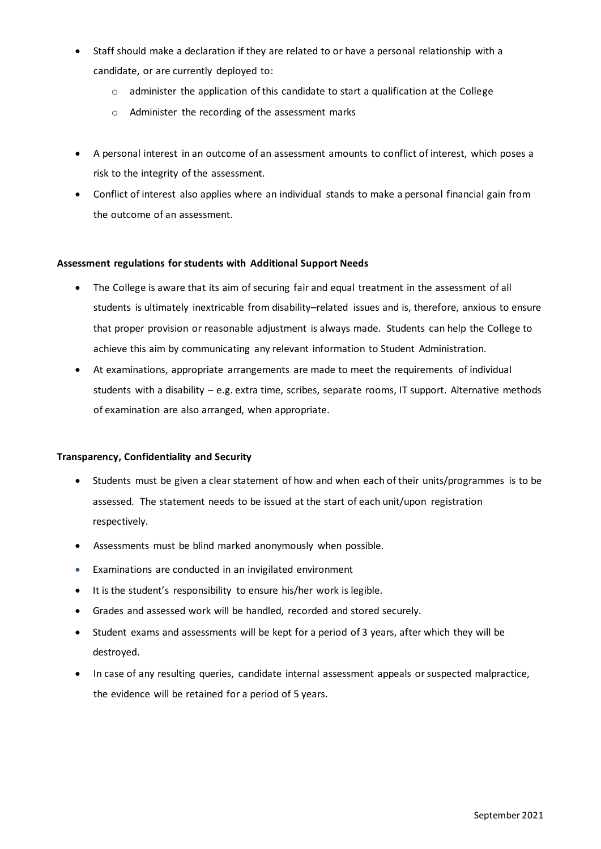- Staff should make a declaration if they are related to or have a personal relationship with a candidate, or are currently deployed to:
	- $\circ$  administer the application of this candidate to start a qualification at the College
	- o Administer the recording of the assessment marks
- A personal interest in an outcome of an assessment amounts to conflict of interest, which poses a risk to the integrity of the assessment.
- Conflict of interest also applies where an individual stands to make a personal financial gain from the outcome of an assessment.

# **Assessment regulations for students with Additional Support Needs**

- The College is aware that its aim of securing fair and equal treatment in the assessment of all students is ultimately inextricable from disability–related issues and is, therefore, anxious to ensure that proper provision or reasonable adjustment is always made. Students can help the College to achieve this aim by communicating any relevant information to Student Administration.
- At examinations, appropriate arrangements are made to meet the requirements of individual students with a disability – e.g. extra time, scribes, separate rooms, IT support. Alternative methods of examination are also arranged, when appropriate.

# **Transparency, Confidentiality and Security**

- Students must be given a clear statement of how and when each of their units/programmes is to be assessed. The statement needs to be issued at the start of each unit/upon registration respectively.
- Assessments must be blind marked anonymously when possible.
- Examinations are conducted in an invigilated environment
- It is the student's responsibility to ensure his/her work is legible.
- Grades and assessed work will be handled, recorded and stored securely.
- Student exams and assessments will be kept for a period of 3 years, after which they will be destroyed.
- In case of any resulting queries, candidate internal assessment appeals or suspected malpractice, the evidence will be retained for a period of 5 years.